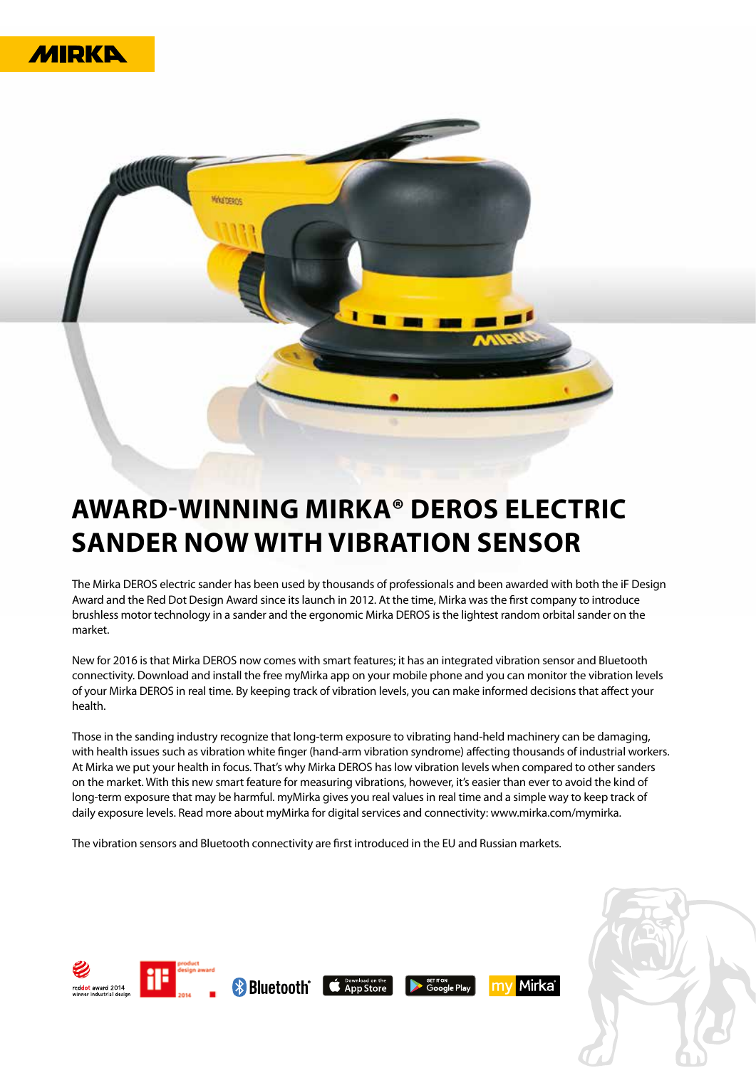



## **AWARD-WINNING MIRKA® DEROS ELECTRIC SANDER NOW WITH VIBRATION SENSOR**

The Mirka DEROS electric sander has been used by thousands of professionals and been awarded with both the iF Design Award and the Red Dot Design Award since its launch in 2012. At the time, Mirka was the first company to introduce brushless motor technology in a sander and the ergonomic Mirka DEROS is the lightest random orbital sander on the market.

New for 2016 is that Mirka DEROS now comes with smart features; it has an integrated vibration sensor and Bluetooth connectivity. Download and install the free myMirka app on your mobile phone and you can monitor the vibration levels of your Mirka DEROS in real time. By keeping track of vibration levels, you can make informed decisions that affect your health.

Those in the sanding industry recognize that long-term exposure to vibrating hand-held machinery can be damaging, with health issues such as vibration white finger (hand-arm vibration syndrome) affecting thousands of industrial workers. At Mirka we put your health in focus. That's why Mirka DEROS has low vibration levels when compared to other sanders on the market. With this new smart feature for measuring vibrations, however, it's easier than ever to avoid the kind of long-term exposure that may be harmful. myMirka gives you real values in real time and a simple way to keep track of daily exposure levels. Read more about myMirka for digital services and connectivity: www.mirka.com/mymirka.

The vibration sensors and Bluetooth connectivity are first introduced in the EU and Russian markets.